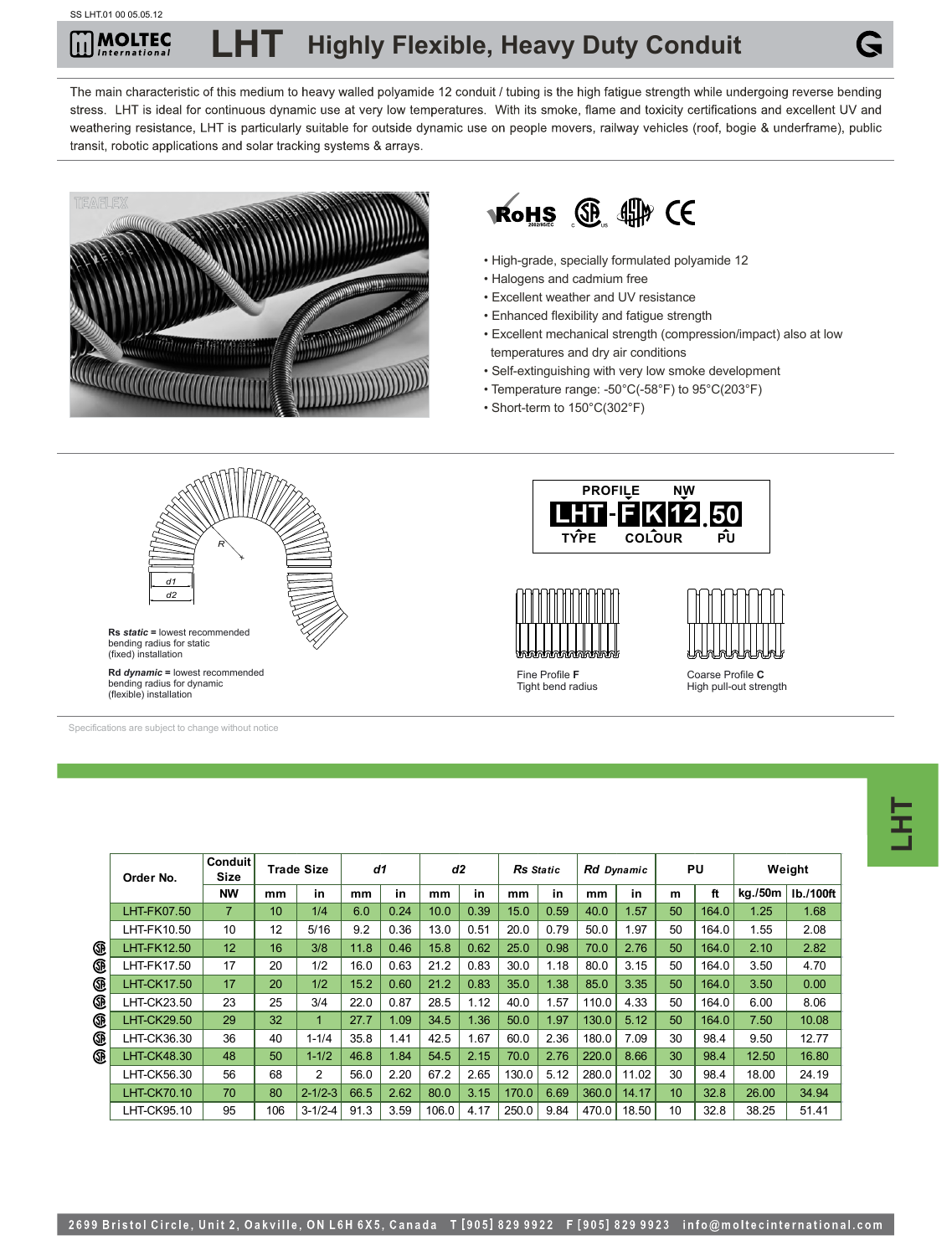## MOLTEC **Highly Flexible, Heavy Duty Conduit**

The main characteristic of this medium to heavy walled polyamide 12 conduit / tubing is the high fatigue strength while undergoing reverse bending stress. LHT is ideal for continuous dynamic use at very low temperatures. With its smoke, flame and toxicity certifications and excellent UV and weathering resistance, LHT is particularly suitable for outside dynamic use on people movers, railway vehicles (roof, bogie & underframe), public transit, robotic applications and solar tracking systems & arrays.





- High-grade, specially formulated polyamide 12
- Halogens and cadmium free
- Excellent weather and UV resistance
- Enhanced flexibility and fatigue strength
- Excellent mechanical strength (compression/impact) also at low temperatures and dry air conditions
- Self-extinguishing with very low smoke development
- Temperature range: -50°C(-58°F) to 95°C(203°F)
- Short-term to 150°C(302°F)



Specifications are subject to change without notice

|    | Conduit<br>Size<br>Order No. |                | <b>Trade Size</b> |                | d1   |      | d2    |      | <b>Rs</b> Static |      | Rd Dynamic |       | PU |       | Weight  |           |
|----|------------------------------|----------------|-------------------|----------------|------|------|-------|------|------------------|------|------------|-------|----|-------|---------|-----------|
|    |                              | <b>NW</b>      | mm                | in             | mm   | in   | mm    | in   | mm               | in   | mm         | in    | m  | ft    | kg./50m | Ib./100ft |
|    | LHT-FK07.50                  | $\overline{7}$ | 10                | 1/4            | 6.0  | 0.24 | 10.0  | 0.39 | 15.0             | 0.59 | 40.0       | 1.57  | 50 | 164.0 | 1.25    | 1.68      |
|    | LHT-FK10.50                  | 10             | 12                | 5/16           | 9.2  | 0.36 | 13.0  | 0.51 | 20.0             | 0.79 | 50.0       | 1.97  | 50 | 164.0 | 1.55    | 2.08      |
| Œ  | <b>LHT-FK12.50</b>           | 12             | 16                | 3/8            | 11.8 | 0.46 | 15.8  | 0.62 | 25.0             | 0.98 | 70.0       | 2.76  | 50 | 164.0 | 2.10    | 2.82      |
| œ  | LHT-FK17.50                  | 17             | 20                | 1/2            | 16.0 | 0.63 | 21.2  | 0.83 | 30.0             | 1.18 | 80.0       | 3.15  | 50 | 164.0 | 3.50    | 4.70      |
| ®  | <b>LHT-CK17.50</b>           | 17             | 20                | 1/2            | 15.2 | 0.60 | 21.2  | 0.83 | 35.0             | 1.38 | 85.0       | 3.35  | 50 | 164.0 | 3.50    | 0.00      |
| ®  | LHT-CK23.50                  | 23             | 25                | 3/4            | 22.0 | 0.87 | 28.5  | 1.12 | 40.0             | .57  | 110.0      | 4.33  | 50 | 164.0 | 6.00    | 8.06      |
| ®  | <b>LHT-CK29.50</b>           | 29             | 32                | 1              | 27.7 | 1.09 | 34.5  | 1.36 | 50.0             | 1.97 | 130.0      | 5.12  | 50 | 164.0 | 7.50    | 10.08     |
| œ  | LHT-CK36.30                  | 36             | 40                | $1 - 1/4$      | 35.8 | 1.41 | 42.5  | 1.67 | 60.0             | 2.36 | 180.0      | 7.09  | 30 | 98.4  | 9.50    | 12.77     |
| ®. | <b>LHT-CK48.30</b>           | 48             | 50                | $1 - 1/2$      | 46.8 | 1.84 | 54.5  | 2.15 | 70.0             | 2.76 | 220.0      | 8.66  | 30 | 98.4  | 12.50   | 16.80     |
|    | LHT-CK56.30                  | 56             | 68                | $\overline{2}$ | 56.0 | 2.20 | 67.2  | 2.65 | 130.0            | 5.12 | 280.0      | 11.02 | 30 | 98.4  | 18.00   | 24.19     |
|    | <b>LHT-CK70.10</b>           | 70             | 80                | $2 - 1/2 - 3$  | 66.5 | 2.62 | 80.0  | 3.15 | 170.0            | 6.69 | 360.0      | 14.17 | 10 | 32.8  | 26.00   | 34.94     |
|    | LHT-CK95.10                  | 95             | 106               | $3 - 1/2 - 4$  | 91.3 | 3.59 | 106.0 | 4.17 | 250.0            | 9.84 | 470.0      | 18.50 | 10 | 32.8  | 38.25   | 51.41     |

**LHT**